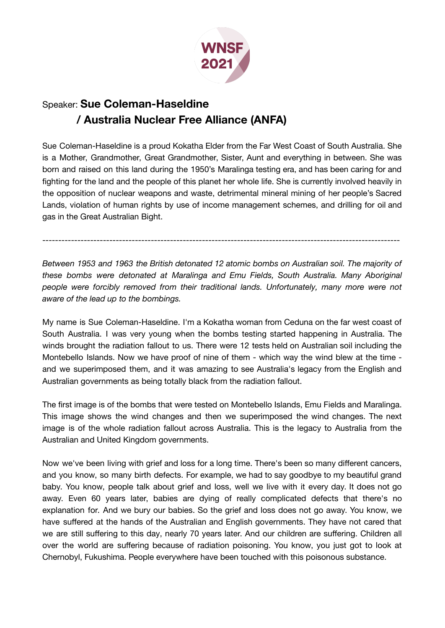

## Speaker: **Sue Coleman-Haseldine / Australia Nuclear Free Alliance (ANFA)**

Sue Coleman-Haseldine is a proud Kokatha Elder from the Far West Coast of South Australia. She is a Mother, Grandmother, Great Grandmother, Sister, Aunt and everything in between. She was born and raised on this land during the 1950's Maralinga testing era, and has been caring for and fighting for the land and the people of this planet her whole life. She is currently involved heavily in the opposition of nuclear weapons and waste, detrimental mineral mining of her people's Sacred Lands, violation of human rights by use of income management schemes, and drilling for oil and gas in the Great Australian Bight.

----------------------------------------------------------------------------------------------------------------

*Between 1953 and 1963 the British detonated 12 atomic bombs on Australian soil. The majority of these bombs were detonated at Maralinga and Emu Fields, South Australia. Many Aboriginal people were forcibly removed from their traditional lands. Unfortunately, many more were not aware of the lead up to the bombings.*

My name is Sue Coleman-Haseldine. I'm a Kokatha woman from Ceduna on the far west coast of South Australia. I was very young when the bombs testing started happening in Australia. The winds brought the radiation fallout to us. There were 12 tests held on Australian soil including the Montebello Islands. Now we have proof of nine of them - which way the wind blew at the time and we superimposed them, and it was amazing to see Australia's legacy from the English and Australian governments as being totally black from the radiation fallout.

The first image is of the bombs that were tested on Montebello Islands, Emu Fields and Maralinga. This image shows the wind changes and then we superimposed the wind changes. The next image is of the whole radiation fallout across Australia. This is the legacy to Australia from the Australian and United Kingdom governments.

Now we've been living with grief and loss for a long time. There's been so many different cancers, and you know, so many birth defects. For example, we had to say goodbye to my beautiful grand baby. You know, people talk about grief and loss, well we live with it every day. It does not go away. Even 60 years later, babies are dying of really complicated defects that there's no explanation for. And we bury our babies. So the grief and loss does not go away. You know, we have suffered at the hands of the Australian and English governments. They have not cared that we are still suffering to this day, nearly 70 years later. And our children are suffering. Children all over the world are suffering because of radiation poisoning. You know, you just got to look at Chernobyl, Fukushima. People everywhere have been touched with this poisonous substance.